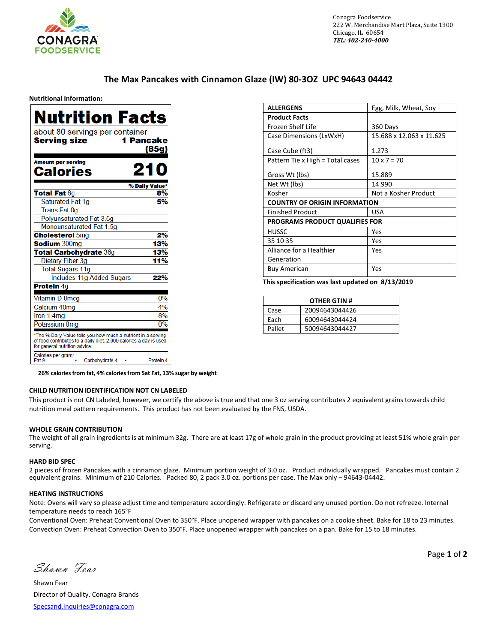

# **The Max Pancakes with Cinnamon Glaze (IW) 80-3OZ UPC 94643 04442**

#### **Nutritional Information:**

| Nutrition Facts                                                                                                                                                     |
|---------------------------------------------------------------------------------------------------------------------------------------------------------------------|
| about 80 servings per container<br>1 Pancake<br><b>Serving size</b><br>(85g)                                                                                        |
| <b>Amount per serving</b><br>21<br>Calories                                                                                                                         |
| % Daily Value*<br>8%                                                                                                                                                |
| <b>Total Fat 6g</b><br>Saturated Fat 1g<br>5%                                                                                                                       |
| <b>Trans Fat 0g</b>                                                                                                                                                 |
| Polyunsaturated Fat 3.5g                                                                                                                                            |
| Monounsaturated Fat 1.5g                                                                                                                                            |
| <b>Cholesterol 5mg</b><br>2%                                                                                                                                        |
| <b>Sodium</b> 300mg<br>13%                                                                                                                                          |
| <b>Total Carbohydrate 36g</b><br>13%                                                                                                                                |
| Dietary Fiber 3q<br>11%                                                                                                                                             |
| <b>Total Sugars 11g</b>                                                                                                                                             |
| Includes 11g Added Sugars<br>22%                                                                                                                                    |
| <b>Protein 4g</b>                                                                                                                                                   |
|                                                                                                                                                                     |
| Vitamin D 0mcg<br>0%                                                                                                                                                |
| Calcium 40mg<br>4%                                                                                                                                                  |
| 8%<br>Iron 1.4mg                                                                                                                                                    |
| 0%<br>Potassium 0mg                                                                                                                                                 |
| *The % Daily Value tells you how much a nutrient in a serving<br>of food contributes to a daily diet. 2,000 calories a day is used<br>for general nutrition advice. |
| Calories per gram:<br>Fat 9<br>Carbohydrate 4<br>Protein 4                                                                                                          |

| <b>ALLERGENS</b>                      | Egg, Milk, Wheat, Soy    |
|---------------------------------------|--------------------------|
| <b>Product Facts</b>                  |                          |
| Frozen Shelf Life                     | 360 Days                 |
| Case Dimensions (LxWxH)               | 15.688 x 12.063 x 11.625 |
| Case Cube (ft3)                       | 1.273                    |
| Pattern Tie x High = Total cases      | $10 \times 7 = 70$       |
| Gross Wt (lbs)                        | 15.889                   |
| Net Wt (lbs)                          | 14.990                   |
| Kosher                                | Not a Kosher Product     |
| <b>COUNTRY OF ORIGIN INFORMATION</b>  |                          |
| <b>Finished Product</b>               | <b>USA</b>               |
| <b>PROGRAMS PRODUCT QUALIFIES FOR</b> |                          |
| HUSSC                                 | Yes                      |
| 35 10 35                              | Yes                      |
| Alliance for a Healthier              | Yes                      |
| Generation                            |                          |
| <b>Buy American</b>                   | Yes                      |

**This specification was last updated on 8/13/2019**

| <b>OTHER GTIN#</b> |                |  |
|--------------------|----------------|--|
| Case               | 20094643044426 |  |
| Each               | 60094643044424 |  |
| Pallet             | 50094643044427 |  |

**26% calories from fat, 4% calories from Sat Fat, 13% sugar by weight** 

### **CHILD NUTRITION IDENTIFICATION NOT CN LABELED**

This product is not CN Labeled, however, we certify the above is true and that one 3 oz serving contributes 2 equivalent grains towards child nutrition meal pattern requirements. This product has not been evaluated by the FNS, USDA.

### **WHOLE GRAIN CONTRIBUTION**

The weight of all grain ingredients is at minimum 32g. There are at least 17g of whole grain in the product providing at least 51% whole grain per serving.

#### **HARD BID SPEC**

2 pieces of frozen Pancakes with a cinnamon glaze. Minimum portion weight of 3.0 oz. Product individually wrapped. Pancakes must contain 2 equivalent grains. Minimum of 210 Calories. Packed 80, 2 pack 3.0 oz. portions per case. The Max only – 94643-04442.

#### **HEATING INSTRUCTIONS**

Note: Ovens will vary so please adjust time and temperature accordingly. Refrigerate or discard any unused portion. Do not refreeze. Internal temperature needs to reach 165°F

Conventional Oven: Preheat Conventional Oven to 350°F. Place unopened wrapper with pancakes on a cookie sheet. Bake for 18 to 23 minutes. Convection Oven: Preheat Convection Oven to 350°F. Place unopened wrapper with pancakes on a pan. Bake for 15 to 18 minutes.

Shawn Fear

Shawn Fear Director of Quality, Conagra Brands [Specsand.Inquiries@conagra.com](mailto:Specsand.Inquiries@conagra.com)

Page **1** of **2**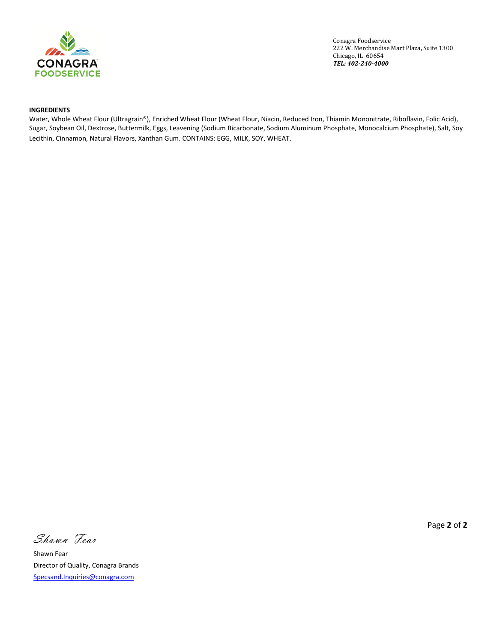

Conagra Foodservice 222 W. Merchandise Mart Plaza, Suite 1300 Chicago, IL 60654 *TEL: 402-240-4000*

## **INGREDIENTS**

Water, Whole Wheat Flour (Ultragrain®), Enriched Wheat Flour (Wheat Flour, Niacin, Reduced Iron, Thiamin Mononitrate, Riboflavin, Folic Acid), Sugar, Soybean Oil, Dextrose, Buttermilk, Eggs, Leavening (Sodium Bicarbonate, Sodium Aluminum Phosphate, Monocalcium Phosphate), Salt, Soy Lecithin, Cinnamon, Natural Flavors, Xanthan Gum. CONTAINS: EGG, MILK, SOY, WHEAT.

Shawn Fear

Shawn Fear Director of Quality, Conagra Brands [Specsand.Inquiries@conagra.com](mailto:Specsand.Inquiries@conagra.com)

Page **2** of **2**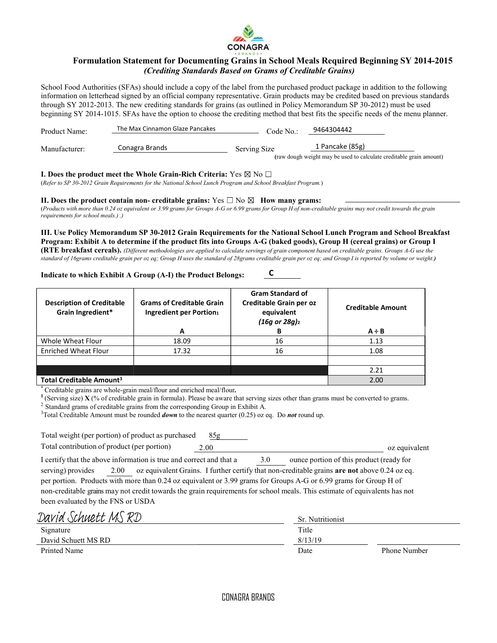

# Formulation Statement for Documenting Grains in School Meals Required Beginning SY 2014-2015 (Crediting Standards Based on Grams of Creditable Grains)

School Food Authorities (SFAs) should include a copy of the label from the purchased product package in addition to the following information on letterhead signed by an official company representative. Grain products may be credited based on previous standards through SY 2012-2013. The new crediting standards for grains (as outlined in Policy Memorandum SP 30-2012) must be used beginning SY 2014-1015. SFAs have the option to choose the crediting method that best fits the specific needs of the menu planner.

| Product Name: | The Max Cinnamon Glaze Pancakes | Code No.:    | 9464304442                                                                             |
|---------------|---------------------------------|--------------|----------------------------------------------------------------------------------------|
| Manufacturer: | Conagra Brands                  | Serving Size | 1 Pancake (85g)<br>(raw dough weight may be used to calculate creditable grain amount) |

## I. Does the product meet the Whole Grain-Rich Criteria: Yes  $\boxtimes$  No  $\Box$

(Refer to SP 30-2012 Grain Requirements for the National School Lunch Program and School Breakfast Program.)

II. Does the product contain non- creditable grains: Yes  $\Box$  No  $\boxtimes$  How many grams: (Products with more than 0.24 oz equivalent or 3.99 grams for Groups A-G or 6.99 grams for Group H of non-creditable grains may not credit towards the grain requirements for school meals.) .)

III. Use Policy Memorandum SP 30-2012 Grain Requirements for the National School Lunch Program and School Breakfast Program: Exhibit A to determine if the product fits into Groups A-G (baked goods), Group H (cereal grains) or Group I (RTE breakfast cereals). (Different methodologies are applied to calculate servings of grain component based on creditable grains. Groups A-G use the standard of 16grams creditable grain per oz eq; Group H uses the standard of 28grams creditable grain per oz eq; and Group I is reported by volume or weight.)

C

## Indicate to which Exhibit A Group (A-I) the Product Belongs:

| <b>Description of Creditable</b><br>Grain Ingredient* | <b>Grams of Creditable Grain</b><br>Ingredient per Portion1<br>A | <b>Gram Standard of</b><br>Creditable Grain per oz<br>equivalent<br>$(16g \text{ or } 28g)_{2}$<br>В | <b>Creditable Amount</b><br>$A \div B$ |
|-------------------------------------------------------|------------------------------------------------------------------|------------------------------------------------------------------------------------------------------|----------------------------------------|
|                                                       |                                                                  |                                                                                                      |                                        |
| Whole Wheat Flour                                     | 18.09                                                            | 16                                                                                                   | 1.13                                   |
| <b>Enriched Wheat Flour</b>                           | 17.32                                                            | 16                                                                                                   | 1.08                                   |
|                                                       |                                                                  |                                                                                                      |                                        |
|                                                       |                                                                  |                                                                                                      | 2.21                                   |
| Total Creditable Amount <sup>3</sup>                  |                                                                  |                                                                                                      | 2.00                                   |

Creditable grains are whole-grain meal/flour and enriched meal/flour.

<sup>1</sup> (Serving size) **X** (% of creditable grain in formula). Please be aware that serving sizes other than grams must be converted to grams.

<sup>2</sup> Standard grams of creditable grains from the corresponding Group in Exhibit A.

<sup>3</sup>Total Creditable Amount must be rounded *down* to the nearest quarter (0.25) oz eq. Do **not** round up.

| Total weight (per portion) of product as purchased                                                                         | 85g  |     |                                                                                              |               |
|----------------------------------------------------------------------------------------------------------------------------|------|-----|----------------------------------------------------------------------------------------------|---------------|
| Total contribution of product (per portion)                                                                                | 2.00 |     |                                                                                              | oz equivalent |
| I certify that the above information is true and correct and that a                                                        |      | 3.0 | ounce portion of this product (ready for                                                     |               |
| serving) provides<br>2.00                                                                                                  |      |     | oz equivalent Grains. I further certify that non-creditable grains are not above 0.24 oz eq. |               |
| per portion. Products with more than 0.24 oz equivalent or 3.99 grams for Groups A-G or 6.99 grams for Group H of          |      |     |                                                                                              |               |
| non-creditable grains may not credit towards the grain requirements for school meals. This estimate of equivalents has not |      |     |                                                                                              |               |
| been evaluated by the FNS or USDA                                                                                          |      |     |                                                                                              |               |

| David Schuett MS RD | <b>Sr.</b> Nutritionist |                     |  |
|---------------------|-------------------------|---------------------|--|
| Signature           | Title                   |                     |  |
| David Schuett MS RD | 8/13/19                 |                     |  |
| Printed Name        | Date                    | <b>Phone Number</b> |  |